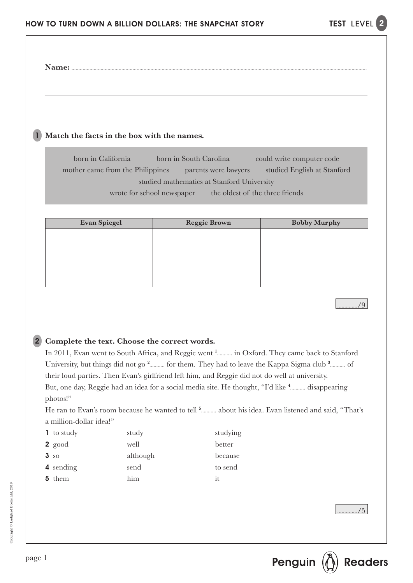**Name:** 

#### 1 **Match the facts in the box with the names.**

born in California born in South Carolina could write computer code mother came from the Philippines parents were lawyers studied English at Stanford studied mathematics at Stanford University wrote for school newspaper the oldest of the three friends

| <b>Evan Spiegel</b> | <b>Reggie Brown</b> | <b>Bobby Murphy</b> |
|---------------------|---------------------|---------------------|
|                     |                     |                     |
|                     |                     |                     |
|                     |                     |                     |
|                     |                     |                     |
|                     |                     |                     |
|                     |                     |                     |

/9

### 2 **Complete the text. Choose the correct words.**

In 2011, Evan went to South Africa, and Reggie went <sup>1</sup> in Oxford. They came back to Stanford University, but things did not go<sup>2</sup> for them. They had to leave the Kappa Sigma club<sup>3</sup> from the S their loud parties. Then Evan's girlfriend left him, and Reggie did not do well at university. But, one day, Reggie had an idea for a social media site. He thought, "I'd like <sup>4</sup> disappearing photos!"

He ran to Evan's room because he wanted to tell <sup>5</sup> about his idea. Evan listened and said, "That's a million-dollar idea!"

| <b>1</b> to study | study    | studying |
|-------------------|----------|----------|
| $2 \text{ good}$  | well     | better   |
| 3 <sub>so</sub>   | although | because  |
| 4 sending         | send     | to send  |
| 5 them            | him      | it       |
|                   |          |          |

 $/5$ 

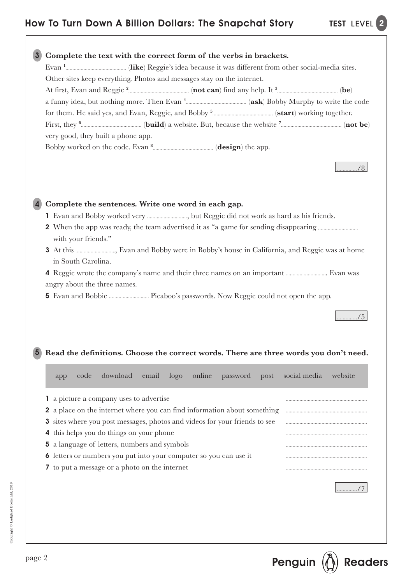

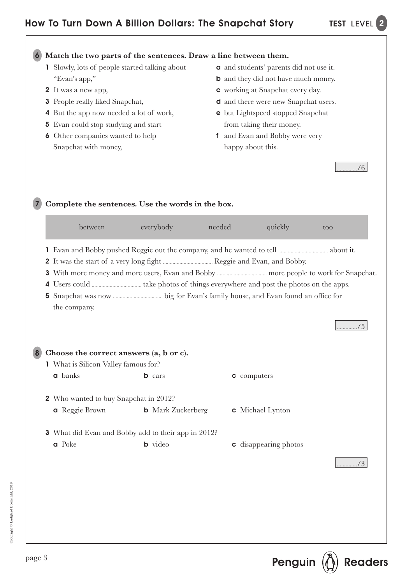$/6$ 

### **Match the two parts of the sentences. Draw a line between them.** 6

- 1 Slowly, lots of people started talking about "Evan's app,"
- 2 It was a new app,
- 3 People really liked Snapchat,
- 4 But the app now needed a lot of work,
- 5 Evan could stop studying and start
- 6 Other companies wanted to help Snapchat with money,
- a and students' parents did not use it.
- b and they did not have much money.
- c working at Snapchat every day.
- d and there were new Snapchat users.
- e but Lightspeed stopped Snapchat from taking their money.
- f and Evan and Bobby were very happy about this.

| between                                     | everybody                                                  | needed<br>quickly            | too |
|---------------------------------------------|------------------------------------------------------------|------------------------------|-----|
|                                             |                                                            |                              |     |
|                                             |                                                            |                              |     |
|                                             |                                                            |                              |     |
| the company.                                |                                                            |                              |     |
|                                             |                                                            |                              | /5  |
| Choose the correct answers (a, b or c).     |                                                            |                              |     |
| <b>1</b> What is Silicon Valley famous for? |                                                            |                              |     |
| <b>a</b> banks                              | <b>b</b> cars                                              | c computers                  |     |
| 2 Who wanted to buy Snapchat in 2012?       |                                                            |                              |     |
| <b>a</b> Reggie Brown                       | <b>b</b> Mark Zuckerberg                                   | <b>c</b> Michael Lynton      |     |
|                                             | <b>3</b> What did Evan and Bobby add to their app in 2012? |                              |     |
| a Poke                                      | <b>b</b> video                                             | <b>c</b> disappearing photos |     |
|                                             |                                                            |                              |     |
|                                             |                                                            |                              |     |
|                                             |                                                            |                              |     |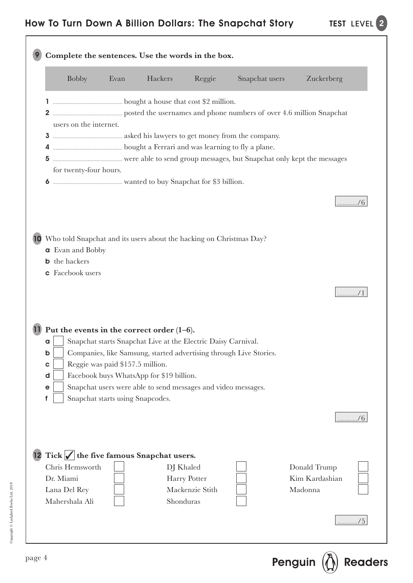| <b>Bobby</b>            | Evan                             | Hackers                                                                | Reggie                          | Snapchat users                                                     | Zuckerberg                |
|-------------------------|----------------------------------|------------------------------------------------------------------------|---------------------------------|--------------------------------------------------------------------|---------------------------|
|                         |                                  |                                                                        |                                 |                                                                    |                           |
|                         |                                  |                                                                        |                                 |                                                                    |                           |
| users on the internet.  |                                  |                                                                        |                                 |                                                                    |                           |
|                         |                                  |                                                                        |                                 |                                                                    |                           |
|                         |                                  |                                                                        |                                 |                                                                    |                           |
| for twenty-four hours.  |                                  |                                                                        |                                 |                                                                    |                           |
|                         |                                  |                                                                        |                                 |                                                                    |                           |
|                         |                                  |                                                                        |                                 |                                                                    |                           |
|                         |                                  |                                                                        |                                 |                                                                    |                           |
|                         |                                  |                                                                        |                                 |                                                                    |                           |
|                         |                                  | 10 Who told Snapchat and its users about the hacking on Christmas Day? |                                 |                                                                    |                           |
| <b>a</b> Evan and Bobby |                                  |                                                                        |                                 |                                                                    |                           |
| <b>b</b> the hackers    |                                  |                                                                        |                                 |                                                                    |                           |
| <b>c</b> Facebook users |                                  |                                                                        |                                 |                                                                    |                           |
|                         |                                  |                                                                        |                                 |                                                                    |                           |
|                         |                                  |                                                                        |                                 |                                                                    |                           |
|                         |                                  |                                                                        |                                 |                                                                    |                           |
|                         |                                  | 11 Put the events in the correct order $(1-6)$ .                       |                                 |                                                                    |                           |
| a<br>b                  |                                  | Snapchat starts Snapchat Live at the Electric Daisy Carnival.          |                                 | Companies, like Samsung, started advertising through Live Stories. |                           |
| $\mathbf c$             | Reggie was paid \$157.5 million. |                                                                        |                                 |                                                                    |                           |
| d                       |                                  | Facebook buys WhatsApp for \$19 billion.                               |                                 |                                                                    |                           |
| $\mathbf e$             |                                  | Snapchat users were able to send messages and video messages.          |                                 |                                                                    |                           |
| f                       | Snapchat starts using Snapcodes. |                                                                        |                                 |                                                                    |                           |
|                         |                                  |                                                                        |                                 |                                                                    | /6                        |
|                         |                                  |                                                                        |                                 |                                                                    |                           |
|                         |                                  |                                                                        |                                 |                                                                    |                           |
|                         |                                  | 12 Tick $\sqrt{\ }$ the five famous Snapchat users.                    |                                 |                                                                    |                           |
| Chris Hemsworth         |                                  |                                                                        | DJ Khaled                       |                                                                    | Donald Trump              |
| Dr. Miami               |                                  |                                                                        | Harry Potter<br>Mackenzie Stith |                                                                    | Kim Kardashian<br>Madonna |
| Lana Del Rey            |                                  |                                                                        | Shonduras                       |                                                                    |                           |
| Mahershala Ali          |                                  |                                                                        |                                 |                                                                    |                           |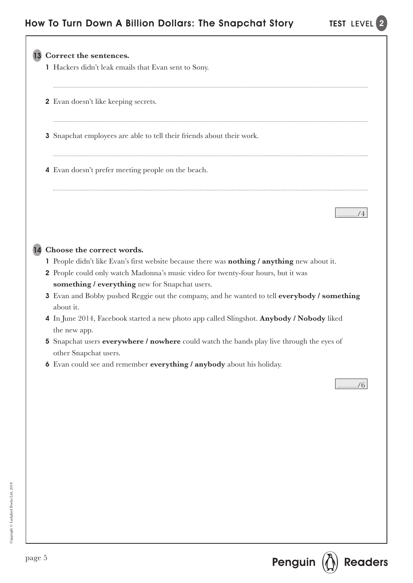

Copyright © Ladybird Books Ltd, 2019 Copyright © Ladybird Books Ltd, 2019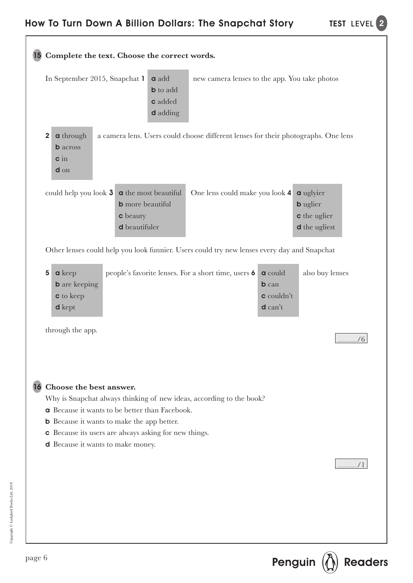|                                                                                                  | <b>a</b> add<br>In September 2015, Snapchat 1<br><b>b</b> to add<br><b>c</b> added<br><b>d</b> adding                                                                                                                                              | new camera lenses to the app. You take photos |                                                           |                                                                                    |
|--------------------------------------------------------------------------------------------------|----------------------------------------------------------------------------------------------------------------------------------------------------------------------------------------------------------------------------------------------------|-----------------------------------------------|-----------------------------------------------------------|------------------------------------------------------------------------------------|
| <b>a</b> through<br>$\overline{2}$<br><b>b</b> across<br>$\sin$<br>$d$ on                        | a camera lens. Users could choose different lenses for their photographs. One lens                                                                                                                                                                 |                                               |                                                           |                                                                                    |
|                                                                                                  | could help you look $3 \mid a$ the most beautiful<br><b>b</b> more beautiful<br><b>c</b> beauty<br>d beautifuler                                                                                                                                   | One lens could make you look 4                |                                                           | <b>a</b> uglyier<br><b>b</b> uglier<br><b>c</b> the uglier<br><b>d</b> the ugliest |
|                                                                                                  | Other lenses could help you look funnier. Users could try new lenses every day and Snapchat                                                                                                                                                        |                                               |                                                           |                                                                                    |
| $a$ keep<br>$\overline{\mathbf{5}}$<br><b>b</b> are keeping<br><b>c</b> to keep<br><b>d</b> kept | people's favorite lenses. For a short time, users 6                                                                                                                                                                                                |                                               | <b>a</b> could<br><b>b</b> can<br>c couldn't<br>$d$ can't | also buy lenses                                                                    |
| through the app.                                                                                 |                                                                                                                                                                                                                                                    |                                               |                                                           | /6                                                                                 |
| 16 Choose the best answer.<br><b>d</b> Because it wants to make money.                           | Why is Snapchat always thinking of new ideas, according to the book?<br><b>a</b> Because it wants to be better than Facebook.<br><b>b</b> Because it wants to make the app better.<br><b>c</b> Because its users are always asking for new things. |                                               |                                                           |                                                                                    |
|                                                                                                  |                                                                                                                                                                                                                                                    |                                               |                                                           |                                                                                    |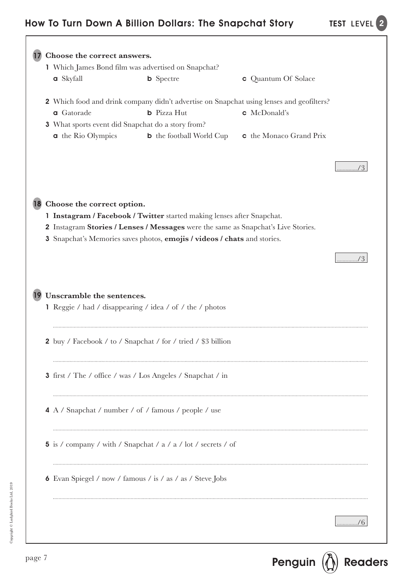